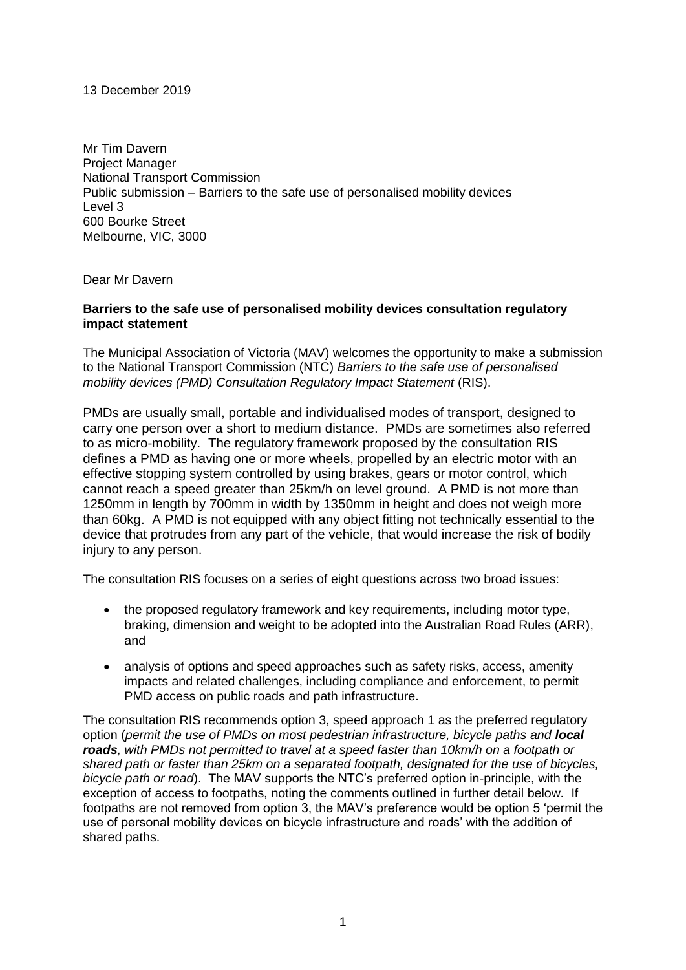# 13 December 2019

Mr Tim Davern Project Manager National Transport Commission Public submission – Barriers to the safe use of personalised mobility devices Level 3 600 Bourke Street Melbourne, VIC, 3000

Dear Mr Davern

#### **Barriers to the safe use of personalised mobility devices consultation regulatory impact statement**

The Municipal Association of Victoria (MAV) welcomes the opportunity to make a submission to the National Transport Commission (NTC) *Barriers to the safe use of personalised mobility devices (PMD) Consultation Regulatory Impact Statement* (RIS).

PMDs are usually small, portable and individualised modes of transport, designed to carry one person over a short to medium distance. PMDs are sometimes also referred to as micro-mobility. The regulatory framework proposed by the consultation RIS defines a PMD as having one or more wheels, propelled by an electric motor with an effective stopping system controlled by using brakes, gears or motor control, which cannot reach a speed greater than 25km/h on level ground. A PMD is not more than 1250mm in length by 700mm in width by 1350mm in height and does not weigh more than 60kg. A PMD is not equipped with any object fitting not technically essential to the device that protrudes from any part of the vehicle, that would increase the risk of bodily injury to any person.

The consultation RIS focuses on a series of eight questions across two broad issues:

- the proposed regulatory framework and key requirements, including motor type, braking, dimension and weight to be adopted into the Australian Road Rules (ARR), and
- analysis of options and speed approaches such as safety risks, access, amenity impacts and related challenges, including compliance and enforcement, to permit PMD access on public roads and path infrastructure.

The consultation RIS recommends option 3, speed approach 1 as the preferred regulatory option (*permit the use of PMDs on most pedestrian infrastructure, bicycle paths and local roads, with PMDs not permitted to travel at a speed faster than 10km/h on a footpath or shared path or faster than 25km on a separated footpath, designated for the use of bicycles, bicycle path or road*). The MAV supports the NTC's preferred option in-principle, with the exception of access to footpaths, noting the comments outlined in further detail below. If footpaths are not removed from option 3, the MAV's preference would be option 5 'permit the use of personal mobility devices on bicycle infrastructure and roads' with the addition of shared paths.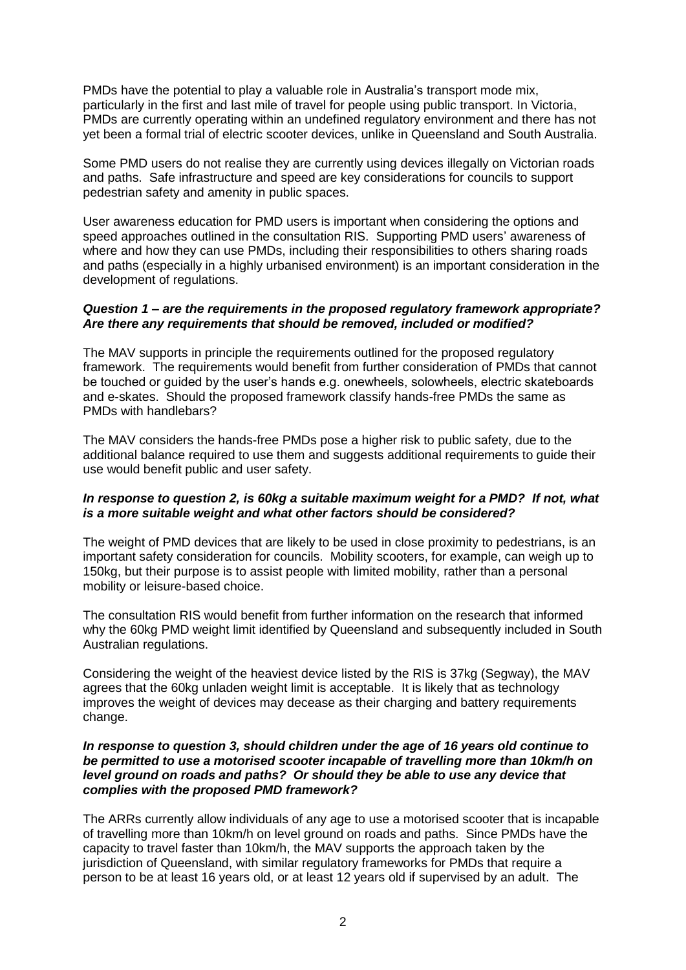PMDs have the potential to play a valuable role in Australia's transport mode mix, particularly in the first and last mile of travel for people using public transport. In Victoria, PMDs are currently operating within an undefined regulatory environment and there has not yet been a formal trial of electric scooter devices, unlike in Queensland and South Australia.

Some PMD users do not realise they are currently using devices illegally on Victorian roads and paths. Safe infrastructure and speed are key considerations for councils to support pedestrian safety and amenity in public spaces.

User awareness education for PMD users is important when considering the options and speed approaches outlined in the consultation RIS. Supporting PMD users' awareness of where and how they can use PMDs, including their responsibilities to others sharing roads and paths (especially in a highly urbanised environment) is an important consideration in the development of regulations.

# *Question 1 – are the requirements in the proposed regulatory framework appropriate? Are there any requirements that should be removed, included or modified?*

The MAV supports in principle the requirements outlined for the proposed regulatory framework. The requirements would benefit from further consideration of PMDs that cannot be touched or guided by the user's hands e.g. onewheels, solowheels, electric skateboards and e-skates. Should the proposed framework classify hands-free PMDs the same as PMDs with handlebars?

The MAV considers the hands-free PMDs pose a higher risk to public safety, due to the additional balance required to use them and suggests additional requirements to guide their use would benefit public and user safety.

# *In response to question 2, is 60kg a suitable maximum weight for a PMD? If not, what is a more suitable weight and what other factors should be considered?*

The weight of PMD devices that are likely to be used in close proximity to pedestrians, is an important safety consideration for councils. Mobility scooters, for example, can weigh up to 150kg, but their purpose is to assist people with limited mobility, rather than a personal mobility or leisure-based choice.

The consultation RIS would benefit from further information on the research that informed why the 60kg PMD weight limit identified by Queensland and subsequently included in South Australian regulations.

Considering the weight of the heaviest device listed by the RIS is 37kg (Segway), the MAV agrees that the 60kg unladen weight limit is acceptable. It is likely that as technology improves the weight of devices may decease as their charging and battery requirements change.

#### *In response to question 3, should children under the age of 16 years old continue to be permitted to use a motorised scooter incapable of travelling more than 10km/h on level ground on roads and paths? Or should they be able to use any device that complies with the proposed PMD framework?*

The ARRs currently allow individuals of any age to use a motorised scooter that is incapable of travelling more than 10km/h on level ground on roads and paths. Since PMDs have the capacity to travel faster than 10km/h, the MAV supports the approach taken by the jurisdiction of Queensland, with similar regulatory frameworks for PMDs that require a person to be at least 16 years old, or at least 12 years old if supervised by an adult. The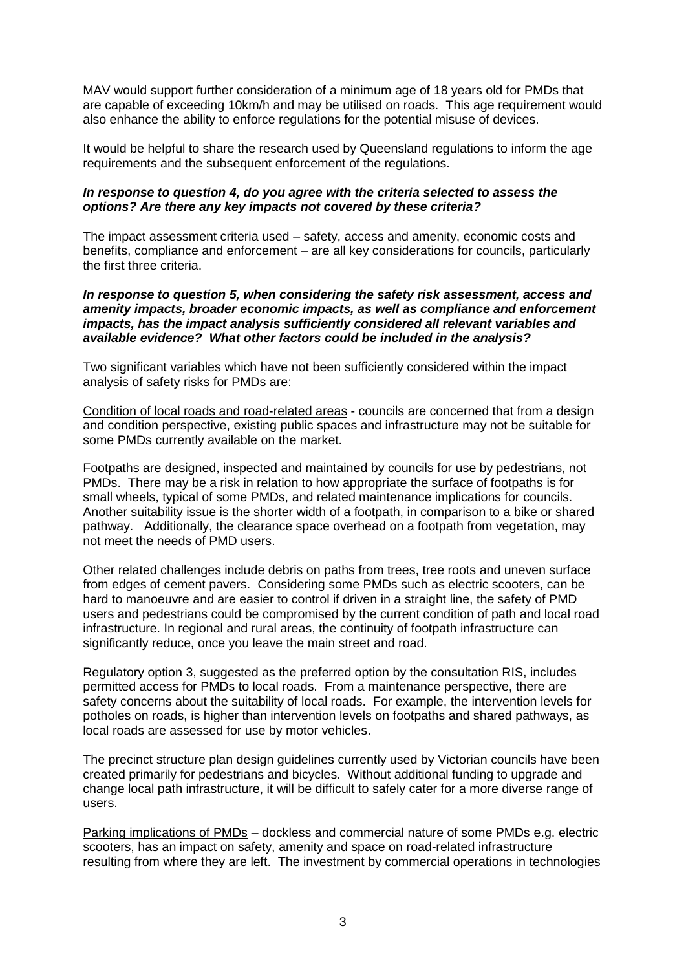MAV would support further consideration of a minimum age of 18 years old for PMDs that are capable of exceeding 10km/h and may be utilised on roads. This age requirement would also enhance the ability to enforce regulations for the potential misuse of devices.

It would be helpful to share the research used by Queensland regulations to inform the age requirements and the subsequent enforcement of the regulations.

# *In response to question 4, do you agree with the criteria selected to assess the options? Are there any key impacts not covered by these criteria?*

The impact assessment criteria used – safety, access and amenity, economic costs and benefits, compliance and enforcement – are all key considerations for councils, particularly the first three criteria.

#### *In response to question 5, when considering the safety risk assessment, access and amenity impacts, broader economic impacts, as well as compliance and enforcement impacts, has the impact analysis sufficiently considered all relevant variables and available evidence? What other factors could be included in the analysis?*

Two significant variables which have not been sufficiently considered within the impact analysis of safety risks for PMDs are:

Condition of local roads and road-related areas - councils are concerned that from a design and condition perspective, existing public spaces and infrastructure may not be suitable for some PMDs currently available on the market.

Footpaths are designed, inspected and maintained by councils for use by pedestrians, not PMDs. There may be a risk in relation to how appropriate the surface of footpaths is for small wheels, typical of some PMDs, and related maintenance implications for councils. Another suitability issue is the shorter width of a footpath, in comparison to a bike or shared pathway. Additionally, the clearance space overhead on a footpath from vegetation, may not meet the needs of PMD users.

Other related challenges include debris on paths from trees, tree roots and uneven surface from edges of cement pavers. Considering some PMDs such as electric scooters, can be hard to manoeuvre and are easier to control if driven in a straight line, the safety of PMD users and pedestrians could be compromised by the current condition of path and local road infrastructure. In regional and rural areas, the continuity of footpath infrastructure can significantly reduce, once you leave the main street and road.

Regulatory option 3, suggested as the preferred option by the consultation RIS, includes permitted access for PMDs to local roads. From a maintenance perspective, there are safety concerns about the suitability of local roads. For example, the intervention levels for potholes on roads, is higher than intervention levels on footpaths and shared pathways, as local roads are assessed for use by motor vehicles.

The precinct structure plan design guidelines currently used by Victorian councils have been created primarily for pedestrians and bicycles. Without additional funding to upgrade and change local path infrastructure, it will be difficult to safely cater for a more diverse range of users.

Parking implications of PMDs – dockless and commercial nature of some PMDs e.g. electric scooters, has an impact on safety, amenity and space on road-related infrastructure resulting from where they are left. The investment by commercial operations in technologies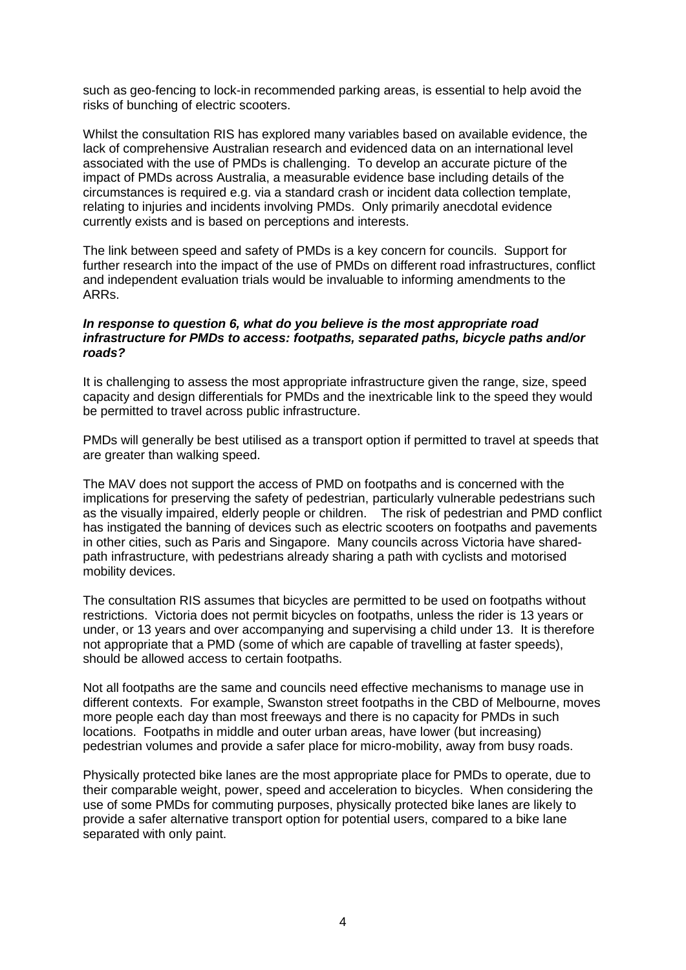such as geo-fencing to lock-in recommended parking areas, is essential to help avoid the risks of bunching of electric scooters.

Whilst the consultation RIS has explored many variables based on available evidence, the lack of comprehensive Australian research and evidenced data on an international level associated with the use of PMDs is challenging. To develop an accurate picture of the impact of PMDs across Australia, a measurable evidence base including details of the circumstances is required e.g. via a standard crash or incident data collection template, relating to injuries and incidents involving PMDs. Only primarily anecdotal evidence currently exists and is based on perceptions and interests.

The link between speed and safety of PMDs is a key concern for councils. Support for further research into the impact of the use of PMDs on different road infrastructures, conflict and independent evaluation trials would be invaluable to informing amendments to the ARRs.

# *In response to question 6, what do you believe is the most appropriate road infrastructure for PMDs to access: footpaths, separated paths, bicycle paths and/or roads?*

It is challenging to assess the most appropriate infrastructure given the range, size, speed capacity and design differentials for PMDs and the inextricable link to the speed they would be permitted to travel across public infrastructure.

PMDs will generally be best utilised as a transport option if permitted to travel at speeds that are greater than walking speed.

The MAV does not support the access of PMD on footpaths and is concerned with the implications for preserving the safety of pedestrian, particularly vulnerable pedestrians such as the visually impaired, elderly people or children. The risk of pedestrian and PMD conflict has instigated the banning of devices such as electric scooters on footpaths and pavements in other cities, such as Paris and Singapore. Many councils across Victoria have sharedpath infrastructure, with pedestrians already sharing a path with cyclists and motorised mobility devices.

The consultation RIS assumes that bicycles are permitted to be used on footpaths without restrictions. Victoria does not permit bicycles on footpaths, unless the rider is 13 years or under, or 13 years and over accompanying and supervising a child under 13. It is therefore not appropriate that a PMD (some of which are capable of travelling at faster speeds), should be allowed access to certain footpaths.

Not all footpaths are the same and councils need effective mechanisms to manage use in different contexts. For example, Swanston street footpaths in the CBD of Melbourne, moves more people each day than most freeways and there is no capacity for PMDs in such locations. Footpaths in middle and outer urban areas, have lower (but increasing) pedestrian volumes and provide a safer place for micro-mobility, away from busy roads.

Physically protected bike lanes are the most appropriate place for PMDs to operate, due to their comparable weight, power, speed and acceleration to bicycles. When considering the use of some PMDs for commuting purposes, physically protected bike lanes are likely to provide a safer alternative transport option for potential users, compared to a bike lane separated with only paint.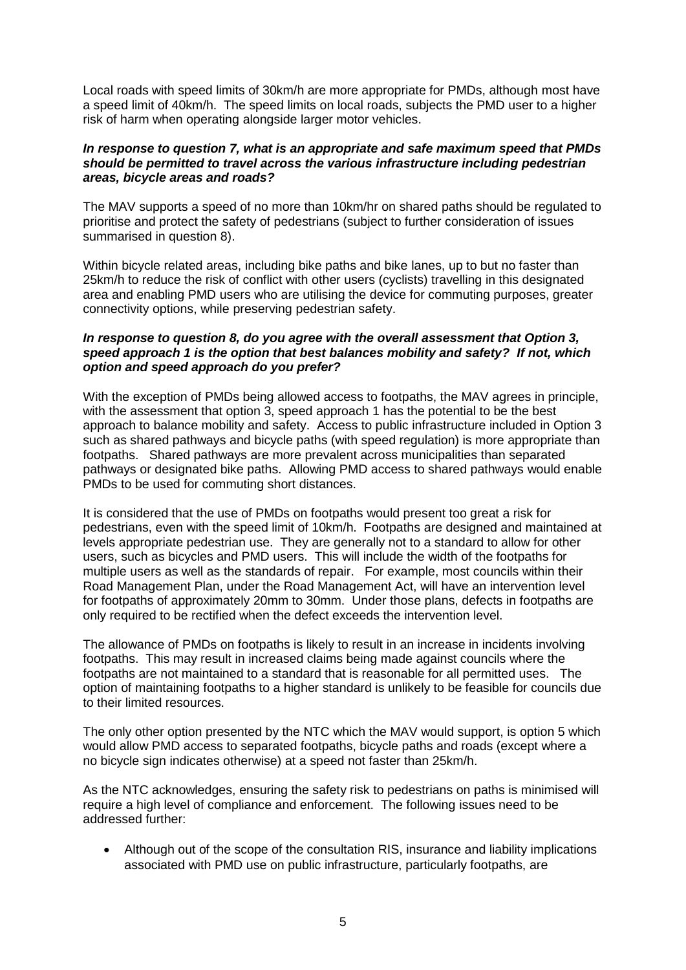Local roads with speed limits of 30km/h are more appropriate for PMDs, although most have a speed limit of 40km/h. The speed limits on local roads, subjects the PMD user to a higher risk of harm when operating alongside larger motor vehicles.

## *In response to question 7, what is an appropriate and safe maximum speed that PMDs should be permitted to travel across the various infrastructure including pedestrian areas, bicycle areas and roads?*

The MAV supports a speed of no more than 10km/hr on shared paths should be regulated to prioritise and protect the safety of pedestrians (subject to further consideration of issues summarised in question 8).

Within bicycle related areas, including bike paths and bike lanes, up to but no faster than 25km/h to reduce the risk of conflict with other users (cyclists) travelling in this designated area and enabling PMD users who are utilising the device for commuting purposes, greater connectivity options, while preserving pedestrian safety.

# *In response to question 8, do you agree with the overall assessment that Option 3, speed approach 1 is the option that best balances mobility and safety? If not, which option and speed approach do you prefer?*

With the exception of PMDs being allowed access to footpaths, the MAV agrees in principle, with the assessment that option 3, speed approach 1 has the potential to be the best approach to balance mobility and safety. Access to public infrastructure included in Option 3 such as shared pathways and bicycle paths (with speed regulation) is more appropriate than footpaths. Shared pathways are more prevalent across municipalities than separated pathways or designated bike paths. Allowing PMD access to shared pathways would enable PMDs to be used for commuting short distances.

It is considered that the use of PMDs on footpaths would present too great a risk for pedestrians, even with the speed limit of 10km/h. Footpaths are designed and maintained at levels appropriate pedestrian use. They are generally not to a standard to allow for other users, such as bicycles and PMD users. This will include the width of the footpaths for multiple users as well as the standards of repair. For example, most councils within their Road Management Plan, under the Road Management Act, will have an intervention level for footpaths of approximately 20mm to 30mm. Under those plans, defects in footpaths are only required to be rectified when the defect exceeds the intervention level.

The allowance of PMDs on footpaths is likely to result in an increase in incidents involving footpaths. This may result in increased claims being made against councils where the footpaths are not maintained to a standard that is reasonable for all permitted uses. The option of maintaining footpaths to a higher standard is unlikely to be feasible for councils due to their limited resources.

The only other option presented by the NTC which the MAV would support, is option 5 which would allow PMD access to separated footpaths, bicycle paths and roads (except where a no bicycle sign indicates otherwise) at a speed not faster than 25km/h.

As the NTC acknowledges, ensuring the safety risk to pedestrians on paths is minimised will require a high level of compliance and enforcement. The following issues need to be addressed further:

• Although out of the scope of the consultation RIS, insurance and liability implications associated with PMD use on public infrastructure, particularly footpaths, are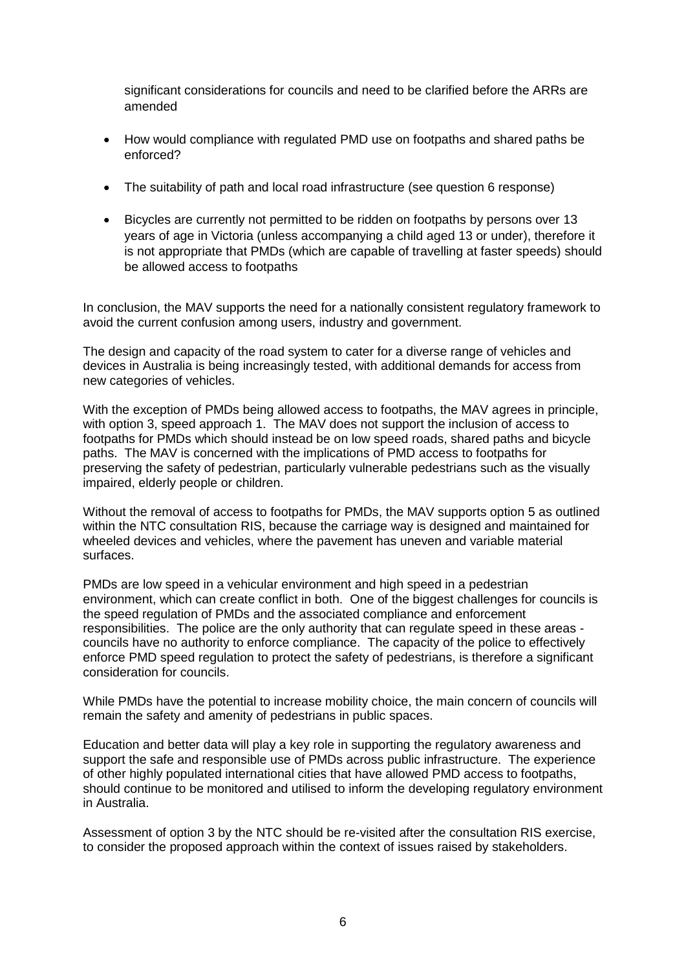significant considerations for councils and need to be clarified before the ARRs are amended

- How would compliance with regulated PMD use on footpaths and shared paths be enforced?
- The suitability of path and local road infrastructure (see question 6 response)
- Bicycles are currently not permitted to be ridden on footpaths by persons over 13 years of age in Victoria (unless accompanying a child aged 13 or under), therefore it is not appropriate that PMDs (which are capable of travelling at faster speeds) should be allowed access to footpaths

In conclusion, the MAV supports the need for a nationally consistent regulatory framework to avoid the current confusion among users, industry and government.

The design and capacity of the road system to cater for a diverse range of vehicles and devices in Australia is being increasingly tested, with additional demands for access from new categories of vehicles.

With the exception of PMDs being allowed access to footpaths, the MAV agrees in principle, with option 3, speed approach 1. The MAV does not support the inclusion of access to footpaths for PMDs which should instead be on low speed roads, shared paths and bicycle paths. The MAV is concerned with the implications of PMD access to footpaths for preserving the safety of pedestrian, particularly vulnerable pedestrians such as the visually impaired, elderly people or children.

Without the removal of access to footpaths for PMDs, the MAV supports option 5 as outlined within the NTC consultation RIS, because the carriage way is designed and maintained for wheeled devices and vehicles, where the pavement has uneven and variable material surfaces.

PMDs are low speed in a vehicular environment and high speed in a pedestrian environment, which can create conflict in both. One of the biggest challenges for councils is the speed regulation of PMDs and the associated compliance and enforcement responsibilities. The police are the only authority that can regulate speed in these areas councils have no authority to enforce compliance. The capacity of the police to effectively enforce PMD speed regulation to protect the safety of pedestrians, is therefore a significant consideration for councils.

While PMDs have the potential to increase mobility choice, the main concern of councils will remain the safety and amenity of pedestrians in public spaces.

Education and better data will play a key role in supporting the regulatory awareness and support the safe and responsible use of PMDs across public infrastructure. The experience of other highly populated international cities that have allowed PMD access to footpaths, should continue to be monitored and utilised to inform the developing regulatory environment in Australia.

Assessment of option 3 by the NTC should be re-visited after the consultation RIS exercise, to consider the proposed approach within the context of issues raised by stakeholders.